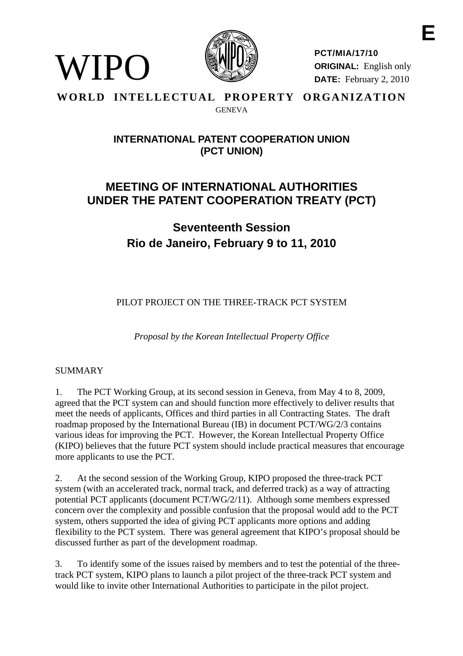

**PCT/MIA/17/10 ORIGINAL:** English only **DATE:** February 2, 2010

#### **WORLD INTELLECTUAL PROPERTY ORGANIZATION GENEVA**

# **INTERNATIONAL PATENT COOPERATION UNION (PCT UNION)**

# **MEETING OF INTERNATIONAL AUTHORITIES UNDER THE PATENT COOPERATION TREATY (PCT)**

**Seventeenth Session Rio de Janeiro, February 9 to 11, 2010** 

PILOT PROJECT ON THE THREE-TRACK PCT SYSTEM

*Proposal by the Korean Intellectual Property Office* 

## SUMMARY

WIPO

1. The PCT Working Group, at its second session in Geneva, from May 4 to 8, 2009, agreed that the PCT system can and should function more effectively to deliver results that meet the needs of applicants, Offices and third parties in all Contracting States. The draft roadmap proposed by the International Bureau (IB) in document PCT/WG/2/3 contains various ideas for improving the PCT. However, the Korean Intellectual Property Office (KIPO) believes that the future PCT system should include practical measures that encourage more applicants to use the PCT.

2. At the second session of the Working Group, KIPO proposed the three-track PCT system (with an accelerated track, normal track, and deferred track) as a way of attracting potential PCT applicants (document PCT/WG/2/11). Although some members expressed concern over the complexity and possible confusion that the proposal would add to the PCT system, others supported the idea of giving PCT applicants more options and adding flexibility to the PCT system. There was general agreement that KIPO's proposal should be discussed further as part of the development roadmap.

3. To identify some of the issues raised by members and to test the potential of the threetrack PCT system, KIPO plans to launch a pilot project of the three-track PCT system and would like to invite other International Authorities to participate in the pilot project.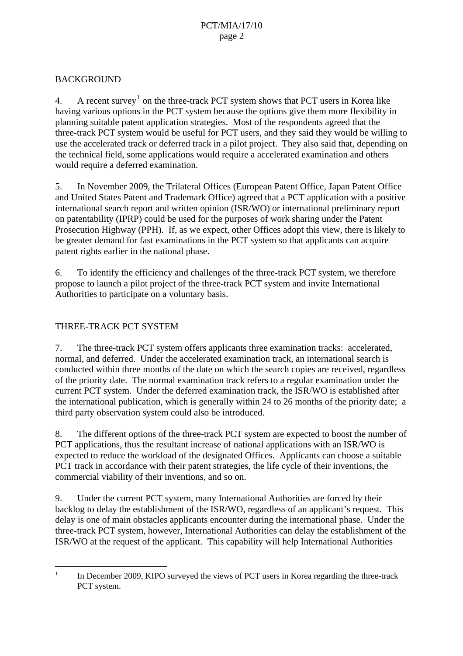## BACKGROUND

4. A recent survey<sup>[1](#page-1-0)</sup> on the three-track PCT system shows that PCT users in Korea like having various options in the PCT system because the options give them more flexibility in planning suitable patent application strategies. Most of the respondents agreed that the three-track PCT system would be useful for PCT users, and they said they would be willing to use the accelerated track or deferred track in a pilot project. They also said that, depending on the technical field, some applications would require a accelerated examination and others would require a deferred examination.

5. In November 2009, the Trilateral Offices (European Patent Office, Japan Patent Office and United States Patent and Trademark Office) agreed that a PCT application with a positive international search report and written opinion (ISR/WO) or international preliminary report on patentability (IPRP) could be used for the purposes of work sharing under the Patent Prosecution Highway (PPH). If, as we expect, other Offices adopt this view, there is likely to be greater demand for fast examinations in the PCT system so that applicants can acquire patent rights earlier in the national phase.

6. To identify the efficiency and challenges of the three-track PCT system, we therefore propose to launch a pilot project of the three-track PCT system and invite International Authorities to participate on a voluntary basis.

## THREE-TRACK PCT SYSTEM

7. The three-track PCT system offers applicants three examination tracks: accelerated, normal, and deferred. Under the accelerated examination track, an international search is conducted within three months of the date on which the search copies are received, regardless of the priority date. The normal examination track refers to a regular examination under the current PCT system. Under the deferred examination track, the ISR/WO is established after the international publication, which is generally within 24 to 26 months of the priority date; a third party observation system could also be introduced.

8. The different options of the three-track PCT system are expected to boost the number of PCT applications, thus the resultant increase of national applications with an ISR/WO is expected to reduce the workload of the designated Offices. Applicants can choose a suitable PCT track in accordance with their patent strategies, the life cycle of their inventions, the commercial viability of their inventions, and so on.

9. Under the current PCT system, many International Authorities are forced by their backlog to delay the establishment of the ISR/WO, regardless of an applicant's request. This delay is one of main obstacles applicants encounter during the international phase. Under the three-track PCT system, however, International Authorities can delay the establishment of the ISR/WO at the request of the applicant. This capability will help International Authorities

<span id="page-1-0"></span> $\overline{a}$ 1 In December 2009, KIPO surveyed the views of PCT users in Korea regarding the three-track PCT system.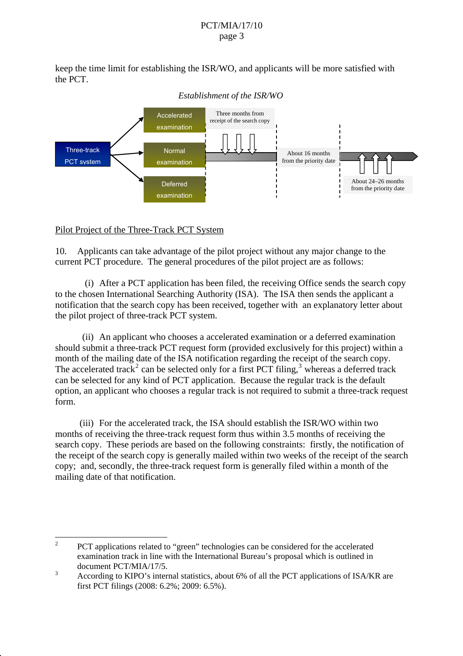### PCT/MIA/17/10 page 3

keep the time limit for establishing the ISR/WO, and applicants will be more satisfied with the PCT.



#### *Establishment of the ISR/WO*

Pilot Project of the Three-Track PCT System

10. Applicants can take advantage of the pilot project without any major change to the current PCT procedure. The general procedures of the pilot project are as follows:

 (i) After a PCT application has been filed, the receiving Office sends the search copy to the chosen International Searching Authority (ISA). The ISA then sends the applicant a notification that the search copy has been received, together with an explanatory letter about the pilot project of three-track PCT system.

 (ii) An applicant who chooses a accelerated examination or a deferred examination should submit a three-track PCT request form (provided exclusively for this project) within a month of the mailing date of the ISA notification regarding the receipt of the search copy. The accelerated track<sup>[2](#page-2-0)</sup> can be selected only for a first PCT filing,<sup>[3](#page-2-1)</sup> whereas a deferred track can be selected for any kind of PCT application. Because the regular track is the default option, an applicant who chooses a regular track is not required to submit a three-track request form.

 (iii) For the accelerated track, the ISA should establish the ISR/WO within two months of receiving the three-track request form thus within 3.5 months of receiving the search copy. These periods are based on the following constraints: firstly, the notification of the receipt of the search copy is generally mailed within two weeks of the receipt of the search copy; and, secondly, the three-track request form is generally filed within a month of the mailing date of that notification.

<span id="page-2-0"></span> $\frac{1}{2}$  PCT applications related to "green" technologies can be considered for the accelerated examination track in line with the International Bureau's proposal which is outlined in document PCT/MIA/17/5.

<span id="page-2-1"></span><sup>3</sup> According to KIPO's internal statistics, about 6% of all the PCT applications of ISA/KR are first PCT filings (2008: 6.2%; 2009: 6.5%).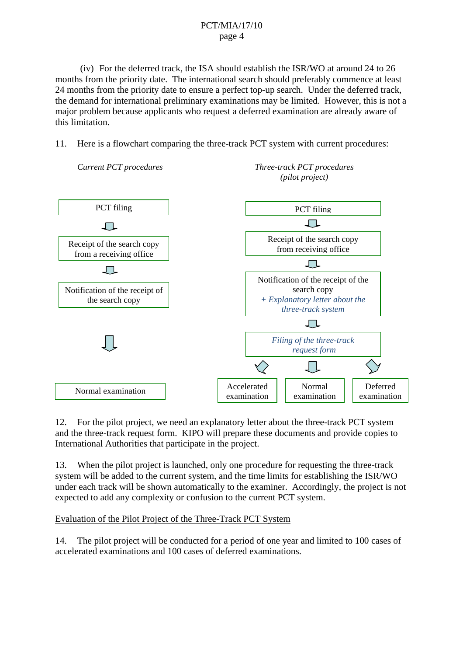#### PCT/MIA/17/10 page 4

 (iv) For the deferred track, the ISA should establish the ISR/WO at around 24 to 26 months from the priority date. The international search should preferably commence at least 24 months from the priority date to ensure a perfect top-up search. Under the deferred track, the demand for international preliminary examinations may be limited. However, this is not a major problem because applicants who request a deferred examination are already aware of this limitation.

11. Here is a flowchart comparing the three-track PCT system with current procedures:



12. For the pilot project, we need an explanatory letter about the three-track PCT system and the three-track request form. KIPO will prepare these documents and provide copies to International Authorities that participate in the project.

13. When the pilot project is launched, only one procedure for requesting the three-track system will be added to the current system, and the time limits for establishing the ISR/WO under each track will be shown automatically to the examiner. Accordingly, the project is not expected to add any complexity or confusion to the current PCT system.

### Evaluation of the Pilot Project of the Three-Track PCT System

14. The pilot project will be conducted for a period of one year and limited to 100 cases of accelerated examinations and 100 cases of deferred examinations.